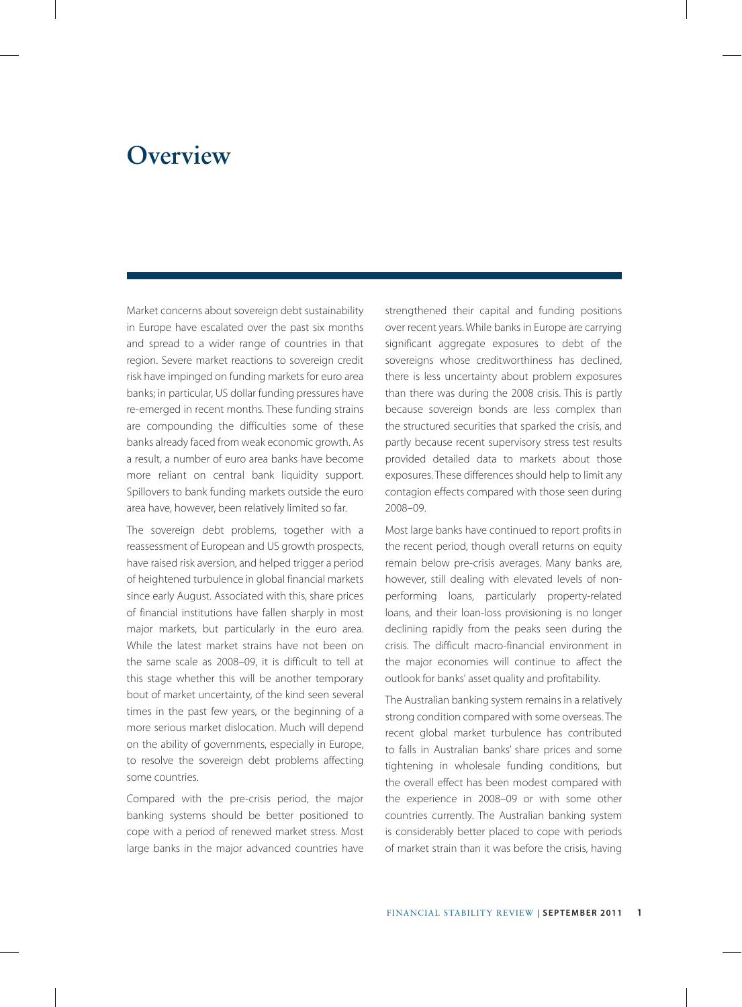## **Overview**

Market concerns about sovereign debt sustainability in Europe have escalated over the past six months and spread to a wider range of countries in that region. Severe market reactions to sovereign credit risk have impinged on funding markets for euro area banks; in particular, US dollar funding pressures have re-emerged in recent months. These funding strains are compounding the difficulties some of these banks already faced from weak economic growth. As a result, a number of euro area banks have become more reliant on central bank liquidity support. Spillovers to bank funding markets outside the euro area have, however, been relatively limited so far.

The sovereign debt problems, together with a reassessment of European and US growth prospects, have raised risk aversion, and helped trigger a period of heightened turbulence in global financial markets since early August. Associated with this, share prices of financial institutions have fallen sharply in most major markets, but particularly in the euro area. While the latest market strains have not been on the same scale as 2008–09, it is difficult to tell at this stage whether this will be another temporary bout of market uncertainty, of the kind seen several times in the past few years, or the beginning of a more serious market dislocation. Much will depend on the ability of governments, especially in Europe, to resolve the sovereign debt problems affecting some countries.

Compared with the pre-crisis period, the major banking systems should be better positioned to cope with a period of renewed market stress. Most large banks in the major advanced countries have strengthened their capital and funding positions over recent years. While banks in Europe are carrying significant aggregate exposures to debt of the sovereigns whose creditworthiness has declined, there is less uncertainty about problem exposures than there was during the 2008 crisis. This is partly because sovereign bonds are less complex than the structured securities that sparked the crisis, and partly because recent supervisory stress test results provided detailed data to markets about those exposures. These differences should help to limit any contagion effects compared with those seen during 2008–09.

Most large banks have continued to report profits in the recent period, though overall returns on equity remain below pre-crisis averages. Many banks are, however, still dealing with elevated levels of nonperforming loans, particularly property-related loans, and their loan-loss provisioning is no longer declining rapidly from the peaks seen during the crisis. The difficult macro-financial environment in the major economies will continue to affect the outlook for banks' asset quality and profitability.

The Australian banking system remains in a relatively strong condition compared with some overseas. The recent global market turbulence has contributed to falls in Australian banks' share prices and some tightening in wholesale funding conditions, but the overall effect has been modest compared with the experience in 2008–09 or with some other countries currently. The Australian banking system is considerably better placed to cope with periods of market strain than it was before the crisis, having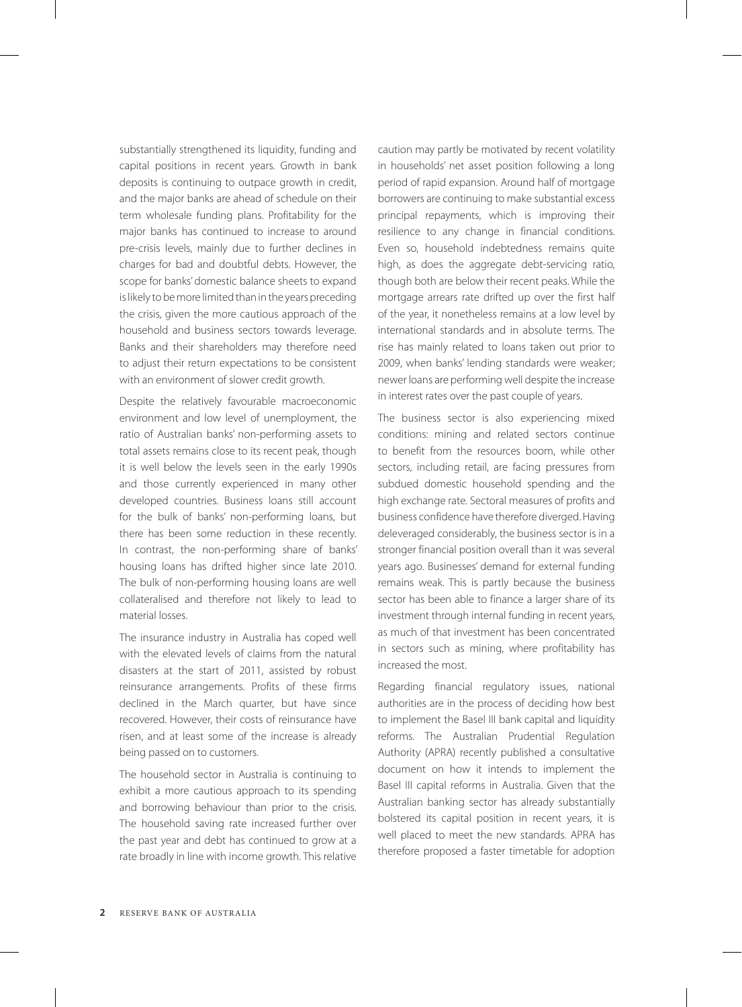substantially strengthened its liquidity, funding and capital positions in recent years. Growth in bank deposits is continuing to outpace growth in credit, and the major banks are ahead of schedule on their term wholesale funding plans. Profitability for the major banks has continued to increase to around pre-crisis levels, mainly due to further declines in charges for bad and doubtful debts. However, the scope for banks' domestic balance sheets to expand is likely to be more limited than in the years preceding the crisis, given the more cautious approach of the household and business sectors towards leverage. Banks and their shareholders may therefore need to adjust their return expectations to be consistent with an environment of slower credit growth.

Despite the relatively favourable macroeconomic environment and low level of unemployment, the ratio of Australian banks' non-performing assets to total assets remains close to its recent peak, though it is well below the levels seen in the early 1990s and those currently experienced in many other developed countries. Business loans still account for the bulk of banks' non-performing loans, but there has been some reduction in these recently. In contrast, the non-performing share of banks' housing loans has drifted higher since late 2010. The bulk of non-performing housing loans are well collateralised and therefore not likely to lead to material losses.

The insurance industry in Australia has coped well with the elevated levels of claims from the natural disasters at the start of 2011, assisted by robust reinsurance arrangements. Profits of these firms declined in the March quarter, but have since recovered. However, their costs of reinsurance have risen, and at least some of the increase is already being passed on to customers.

The household sector in Australia is continuing to exhibit a more cautious approach to its spending and borrowing behaviour than prior to the crisis. The household saving rate increased further over the past year and debt has continued to grow at a rate broadly in line with income growth. This relative

caution may partly be motivated by recent volatility in households' net asset position following a long period of rapid expansion. Around half of mortgage borrowers are continuing to make substantial excess principal repayments, which is improving their resilience to any change in financial conditions. Even so, household indebtedness remains quite high, as does the aggregate debt-servicing ratio, though both are below their recent peaks. While the mortgage arrears rate drifted up over the first half of the year, it nonetheless remains at a low level by international standards and in absolute terms. The rise has mainly related to loans taken out prior to 2009, when banks' lending standards were weaker; newer loans are performing well despite the increase in interest rates over the past couple of years.

The business sector is also experiencing mixed conditions: mining and related sectors continue to benefit from the resources boom, while other sectors, including retail, are facing pressures from subdued domestic household spending and the high exchange rate. Sectoral measures of profits and business confidence have therefore diverged. Having deleveraged considerably, the business sector is in a stronger financial position overall than it was several years ago. Businesses' demand for external funding remains weak. This is partly because the business sector has been able to finance a larger share of its investment through internal funding in recent years, as much of that investment has been concentrated in sectors such as mining, where profitability has increased the most.

Regarding financial regulatory issues, national authorities are in the process of deciding how best to implement the Basel III bank capital and liquidity reforms. The Australian Prudential Regulation Authority (APRA) recently published a consultative document on how it intends to implement the Basel III capital reforms in Australia. Given that the Australian banking sector has already substantially bolstered its capital position in recent years, it is well placed to meet the new standards. APRA has therefore proposed a faster timetable for adoption